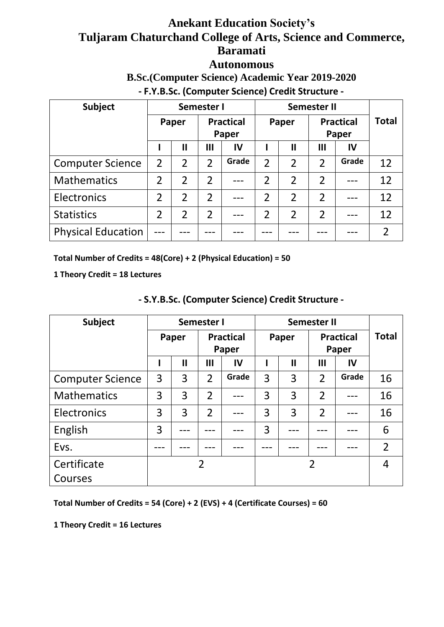# **Anekant Education Society's Tuljaram Chaturchand College of Arts, Science and Commerce, Baramati**

### **Autonomous**

**B.Sc.(Computer Science) Academic Year 2019-2020**

**- F.Y.B.Sc. (Computer Science) Credit Structure -**

| Subject                   | Semester I     |                                    |                |       |                |                |                           |       |              |
|---------------------------|----------------|------------------------------------|----------------|-------|----------------|----------------|---------------------------|-------|--------------|
|                           |                | <b>Practical</b><br>Paper<br>Paper |                |       | Paper          |                | <b>Practical</b><br>Paper |       | <b>Total</b> |
|                           |                | $\mathbf{I}$                       | III            | IV    |                | $\mathbf{I}$   | $\mathbf{III}$            | IV    |              |
| <b>Computer Science</b>   | $\overline{2}$ | $\overline{2}$                     | $\overline{2}$ | Grade | $\overline{2}$ | $\overline{2}$ | $\overline{2}$            | Grade | 12           |
| <b>Mathematics</b>        | $\overline{2}$ | $\overline{2}$                     | $\overline{2}$ |       | $\overline{2}$ | $\overline{2}$ | $\overline{2}$            |       | 12           |
| Electronics               | $\mathfrak{D}$ | $\overline{2}$                     | $\overline{2}$ |       | $\overline{2}$ | $\overline{2}$ | $\overline{2}$            |       | 12           |
| <b>Statistics</b>         | $\overline{2}$ | $\overline{2}$                     | $\overline{2}$ |       | $\overline{2}$ | $\overline{2}$ | $\overline{2}$            |       | 12           |
| <b>Physical Education</b> |                |                                    |                |       |                |                |                           |       |              |

**Total Number of Credits = 48(Core) + 2 (Physical Education) = 50**

**1 Theory Credit = 18 Lectures**

| <b>Subject</b>          | Semester I |              |                |                  |                |              |                  |       |                |
|-------------------------|------------|--------------|----------------|------------------|----------------|--------------|------------------|-------|----------------|
|                         |            | Paper        |                | <b>Practical</b> | Paper          |              | <b>Practical</b> |       | <b>Total</b>   |
|                         |            |              |                | Paper            |                |              |                  | Paper |                |
|                         |            | $\mathbf{I}$ | $\mathbf{III}$ | $\mathsf{IV}$    |                | $\mathbf{I}$ | $\mathbf{III}$   | IV    |                |
| <b>Computer Science</b> | 3          | 3            | $\overline{2}$ | Grade            | 3              | 3            | $\overline{2}$   | Grade | 16             |
| <b>Mathematics</b>      | 3          | 3            | $\overline{2}$ |                  | 3              | 3            | $\overline{2}$   |       | 16             |
| Electronics             | 3          | 3            | $\overline{2}$ |                  | 3              | 3            | $\overline{2}$   |       | 16             |
| English                 | 3          |              |                |                  | 3              |              |                  |       | 6              |
| Evs.                    |            |              |                |                  |                |              |                  |       | $\overline{2}$ |
| Certificate<br>Courses  |            |              | $\overline{2}$ |                  | $\overline{2}$ |              |                  |       | 4              |
|                         |            |              |                |                  |                |              |                  |       |                |

# **- S.Y.B.Sc. (Computer Science) Credit Structure -**

**Total Number of Credits = 54 (Core) + 2 (EVS) + 4 (Certificate Courses) = 60**

**1 Theory Credit = 16 Lectures**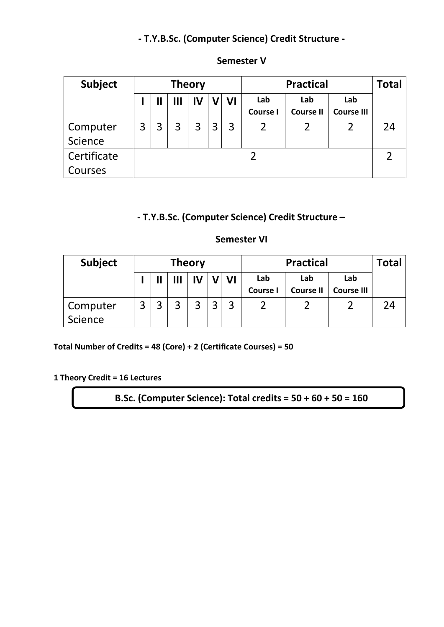# **- T.Y.B.Sc. (Computer Science) Credit Structure -**

| <b>Subject</b>      | <b>Theory</b> |                       |   |    |   |    |                        | Total                   |                          |    |
|---------------------|---------------|-----------------------|---|----|---|----|------------------------|-------------------------|--------------------------|----|
|                     |               | $\mathbf{\mathsf{I}}$ | Ш | IV |   | VI | Lab<br><b>Course I</b> | Lab<br><b>Course II</b> | Lab<br><b>Course III</b> |    |
| Computer<br>Science | 3             |                       | 3 | 3  | 3 | 3  | 2                      | 2                       |                          | 24 |
| Certificate         |               |                       |   |    |   |    |                        |                         |                          |    |
| Courses             |               |                       |   |    |   |    |                        |                         |                          |    |

#### **Semester V**

# **- T.Y.B.Sc. (Computer Science) Credit Structure –**

#### **Semester VI**

| <b>Subject</b>      | <b>Practical</b><br><b>Theory</b> |  |   |    |  |    | <b>Total</b>           |                         |                          |    |
|---------------------|-----------------------------------|--|---|----|--|----|------------------------|-------------------------|--------------------------|----|
|                     |                                   |  | Ш | IV |  | VI | Lab<br><b>Course I</b> | Lab<br><b>Course II</b> | Lab<br><b>Course III</b> |    |
| Computer<br>Science | $\mathbf{z}$                      |  | 3 | 3  |  | 3  |                        |                         |                          | 24 |

**Total Number of Credits = 48 (Core) + 2 (Certificate Courses) = 50**

**1 Theory Credit = 16 Lectures**

**B.Sc. (Computer Science): Total credits = 50 + 60 + 50 = 160**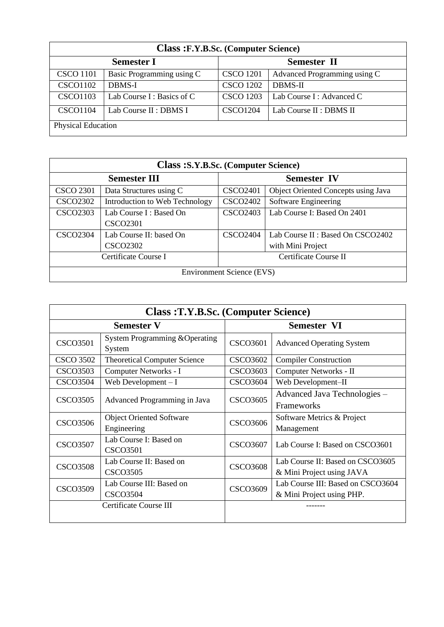| <b>Class :F.Y.B.Sc. (Computer Science)</b> |                             |                  |                              |  |  |  |  |
|--------------------------------------------|-----------------------------|------------------|------------------------------|--|--|--|--|
| <b>Semester II</b><br><b>Semester I</b>    |                             |                  |                              |  |  |  |  |
| <b>CSCO</b> 1101                           | Basic Programming using C   | <b>CSCO</b> 1201 | Advanced Programming using C |  |  |  |  |
| <b>CSCO1102</b>                            | <b>DBMS-I</b>               | <b>CSCO 1202</b> | <b>DBMS-II</b>               |  |  |  |  |
| <b>CSCO1103</b>                            | Lab Course $I:$ Basics of C | <b>CSCO 1203</b> | Lab Course I: Advanced C     |  |  |  |  |
| <b>CSCO1104</b>                            | Lab Course II : DBMS I      | <b>CSCO1204</b>  | Lab Course II : DBMS II      |  |  |  |  |
| Physical Education                         |                             |                  |                              |  |  |  |  |

| <b>Class : S.Y.B.Sc. (Computer Science)</b> |                                            |                    |                                                        |  |  |  |  |
|---------------------------------------------|--------------------------------------------|--------------------|--------------------------------------------------------|--|--|--|--|
|                                             | <b>Semester III</b>                        | <b>Semester IV</b> |                                                        |  |  |  |  |
| <b>CSCO 2301</b>                            | Data Structures using C                    | <b>CSCO2401</b>    | Object Oriented Concepts using Java                    |  |  |  |  |
| <b>CSCO2302</b>                             | Introduction to Web Technology             | <b>CSCO2402</b>    | Software Engineering                                   |  |  |  |  |
| <b>CSCO2303</b>                             | Lab Course I: Based On<br><b>CSCO2301</b>  | <b>CSCO2403</b>    | Lab Course I: Based On 2401                            |  |  |  |  |
| <b>CSCO2304</b>                             | Lab Course II: based On<br><b>CSCO2302</b> | <b>CSCO2404</b>    | Lab Course II : Based On CSCO2402<br>with Mini Project |  |  |  |  |
|                                             | Certificate Course I                       |                    | Certificate Course II                                  |  |  |  |  |
| <b>Environment Science (EVS)</b>            |                                            |                    |                                                        |  |  |  |  |

| <b>Class: T.Y.B.Sc. (Computer Science)</b>                     |                                                |                    |                                                                |  |  |  |
|----------------------------------------------------------------|------------------------------------------------|--------------------|----------------------------------------------------------------|--|--|--|
|                                                                | <b>Semester V</b>                              | <b>Semester VI</b> |                                                                |  |  |  |
| <b>CSCO3501</b>                                                | System Programming & Operating<br>System       | <b>CSCO3601</b>    | <b>Advanced Operating System</b>                               |  |  |  |
| <b>CSCO 3502</b>                                               | <b>Theoretical Computer Science</b>            | <b>CSCO3602</b>    | <b>Compiler Construction</b>                                   |  |  |  |
| <b>CSCO3503</b>                                                | Computer Networks - I                          | <b>CSCO3603</b>    | Computer Networks - II                                         |  |  |  |
| <b>CSCO3504</b>                                                | Web Development $-I$                           | <b>CSCO3604</b>    | Web Development-II                                             |  |  |  |
| <b>CSCO3505</b>                                                | Advanced Programming in Java                   | <b>CSCO3605</b>    | Advanced Java Technologies -<br>Frameworks                     |  |  |  |
| <b>CSCO3506</b>                                                | <b>Object Oriented Software</b><br>Engineering | <b>CSCO3606</b>    | Software Metrics & Project<br>Management                       |  |  |  |
| <b>CSCO3507</b>                                                | Lab Course I: Based on<br><b>CSCO3501</b>      | <b>CSCO3607</b>    | Lab Course I: Based on CSCO3601                                |  |  |  |
| <b>CSCO3508</b>                                                | Lab Course II: Based on<br><b>CSCO3505</b>     | <b>CSCO3608</b>    | Lab Course II: Based on CSCO3605<br>& Mini Project using JAVA  |  |  |  |
| Lab Course III: Based on<br><b>CSCO3509</b><br><b>CSCO3504</b> |                                                | <b>CSCO3609</b>    | Lab Course III: Based on CSCO3604<br>& Mini Project using PHP. |  |  |  |
|                                                                | Certificate Course III                         |                    |                                                                |  |  |  |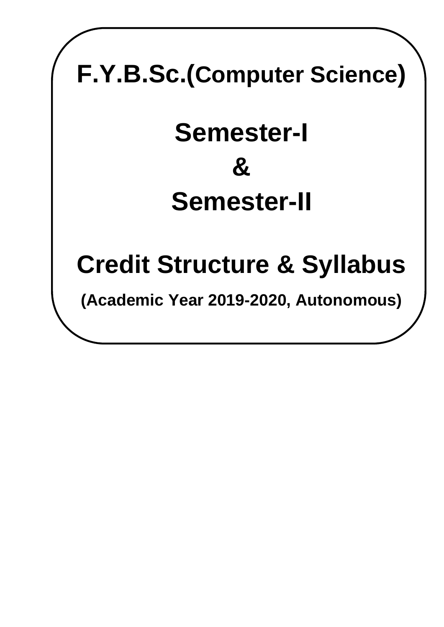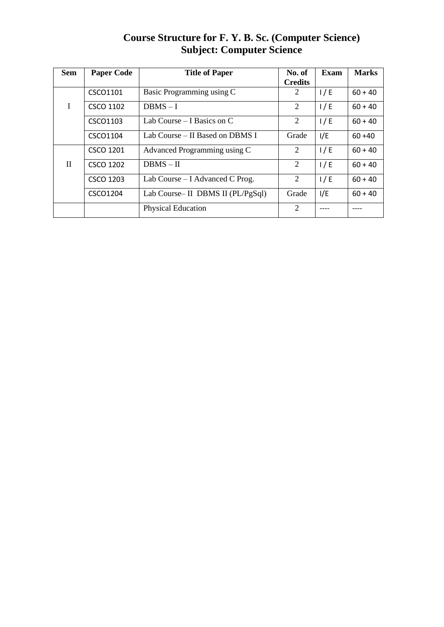| Course Structure for F. Y. B. Sc. (Computer Science) |
|------------------------------------------------------|
| <b>Subject: Computer Science</b>                     |

| <b>Sem</b>   | <b>Paper Code</b> | <b>Title of Paper</b>             | No. of<br><b>Credits</b> | <b>Exam</b> | <b>Marks</b> |
|--------------|-------------------|-----------------------------------|--------------------------|-------------|--------------|
|              | CSCO1101          | Basic Programming using C         | 2                        | 1/E         | $60 + 40$    |
| I            | <b>CSCO 1102</b>  | $DBMS - I$                        | 2                        | 1/E         | $60 + 40$    |
|              | CSCO1103          | Lab Course – I Basics on C        | 2                        | 1/E         | $60 + 40$    |
|              | CSCO1104          | Lab Course – II Based on DBMS I   | Grade                    | I/E         | $60 + 40$    |
|              | CSCO 1201         | Advanced Programming using C      | 2                        | 1/E         | $60 + 40$    |
| $\mathbf{I}$ | <b>CSCO 1202</b>  | $DBMS - II$                       | 2                        | 1/E         | $60 + 40$    |
|              | <b>CSCO 1203</b>  | Lab Course $-$ I Advanced C Prog. | 2                        | 1/E         | $60 + 40$    |
|              | CSCO1204          | Lab Course-II DBMS II (PL/PgSql)  | Grade                    | I/E         | $60 + 40$    |
|              |                   | <b>Physical Education</b>         | 2                        |             |              |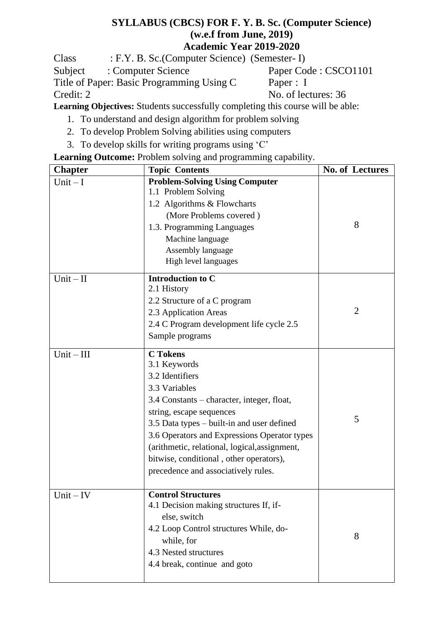### **SYLLABUS (CBCS) FOR F. Y. B. Sc. (Computer Science) (w.e.f from June, 2019) Academic Year 2019-2020**

Class : F.Y. B. Sc.(Computer Science) (Semester- I)

Subject : Computer Science<br>Title of Paper: Basic Programming Using C Paper : I Title of Paper: Basic Programming Using C Credit: 2 No. of lectures: 36

**Learning Objectives:** Students successfully completing this course will be able:

- 1. To understand and design algorithm for problem solving
- 2. To develop Problem Solving abilities using computers
- 3. To develop skills for writing programs using 'C'

# **Learning Outcome:** Problem solving and programming capability.

| <b>Chapter</b> | <b>Topic Contents</b>                                                                                                                                                                                                                                                                                                                                                          | No. of Lectures |
|----------------|--------------------------------------------------------------------------------------------------------------------------------------------------------------------------------------------------------------------------------------------------------------------------------------------------------------------------------------------------------------------------------|-----------------|
| $Unit - I$     | <b>Problem-Solving Using Computer</b><br>1.1 Problem Solving<br>1.2 Algorithms & Flowcharts<br>(More Problems covered)<br>1.3. Programming Languages<br>Machine language<br>Assembly language<br>High level languages                                                                                                                                                          | 8               |
| $Unit - II$    | <b>Introduction to C</b><br>2.1 History<br>2.2 Structure of a C program<br>2.3 Application Areas<br>2.4 C Program development life cycle 2.5<br>Sample programs                                                                                                                                                                                                                | $\overline{2}$  |
| $Unit - III$   | <b>C</b> Tokens<br>3.1 Keywords<br>3.2 Identifiers<br>3.3 Variables<br>3.4 Constants – character, integer, float,<br>string, escape sequences<br>3.5 Data types – built-in and user defined<br>3.6 Operators and Expressions Operator types<br>(arithmetic, relational, logical, assignment,<br>bitwise, conditional, other operators),<br>precedence and associatively rules. | 5               |
| $Unit - IV$    | <b>Control Structures</b><br>4.1 Decision making structures If, if-<br>else, switch<br>4.2 Loop Control structures While, do-<br>while, for<br>4.3 Nested structures<br>4.4 break, continue and goto                                                                                                                                                                           | 8               |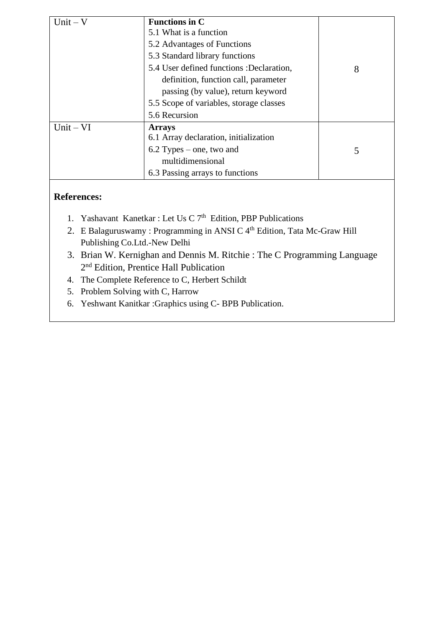| $Unit - V$  | <b>Functions in C</b><br>5.1 What is a function<br>5.2 Advantages of Functions<br>5.3 Standard library functions<br>5.4 User defined functions :Declaration,<br>definition, function call, parameter<br>passing (by value), return keyword<br>5.5 Scope of variables, storage classes<br>5.6 Recursion | 8 |
|-------------|--------------------------------------------------------------------------------------------------------------------------------------------------------------------------------------------------------------------------------------------------------------------------------------------------------|---|
| $Unit - VI$ | <b>Arrays</b><br>6.1 Array declaration, initialization<br>$6.2$ Types – one, two and<br>multidimensional<br>6.3 Passing arrays to functions                                                                                                                                                            | 5 |

## **References:**

- 1. Yashavant Kanetkar : Let Us C  $7<sup>th</sup>$  Edition, PBP Publications
- 2. E Balaguruswamy : Programming in ANSI C 4<sup>th</sup> Edition, Tata Mc-Graw Hill Publishing Co.Ltd.-New Delhi
- 3. Brian W. Kernighan and Dennis M. Ritchie : The C Programming Language 2 nd Edition, Prentice Hall Publication
- 4. The Complete Reference to C, Herbert Schildt
- 5. Problem Solving with C, Harrow
- 6. Yeshwant Kanitkar :Graphics using C- BPB Publication.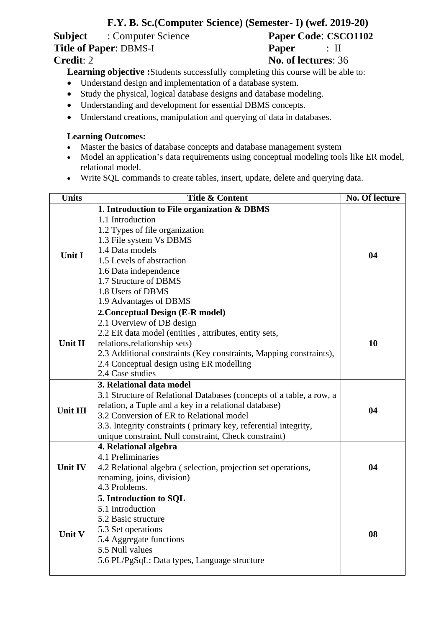# **F.Y. B. Sc.(Computer Science) (Semester- I) (wef. 2019-20)**

**Subject** : Computer Science **Paper Code: CSCO1102**<br> **Title of Paper**: DBMS-I **Paper** : II **Title of Paper**: DBMS-I **Paper** : II

**Credit**: 2 **No. of lectures**: 36

**Learning objective :**Students successfully completing this course will be able to:

- Understand design and implementation of a database system.
- Study the physical, logical database designs and database modeling.
- Understanding and development for essential DBMS concepts.
- Understand creations, manipulation and querying of data in databases.

#### **Learning Outcomes:**

- Master the basics of database concepts and database management system
- Model an application's data requirements using conceptual modeling tools like ER model, relational model.
- Write SQL commands to create tables, insert, update, delete and querying data.

| <b>Units</b>    | <b>Title &amp; Content</b>                                           | No. Of lecture |  |  |  |  |
|-----------------|----------------------------------------------------------------------|----------------|--|--|--|--|
|                 | 1. Introduction to File organization & DBMS                          |                |  |  |  |  |
|                 | 1.1 Introduction                                                     |                |  |  |  |  |
|                 | 1.2 Types of file organization                                       |                |  |  |  |  |
|                 | 1.3 File system Vs DBMS                                              |                |  |  |  |  |
| <b>Unit I</b>   | 1.4 Data models                                                      | 04             |  |  |  |  |
|                 | 1.5 Levels of abstraction                                            |                |  |  |  |  |
|                 | 1.6 Data independence                                                |                |  |  |  |  |
|                 | 1.7 Structure of DBMS                                                |                |  |  |  |  |
|                 | 1.8 Users of DBMS                                                    |                |  |  |  |  |
|                 | 1.9 Advantages of DBMS                                               |                |  |  |  |  |
|                 | 2. Conceptual Design (E-R model)                                     |                |  |  |  |  |
|                 | 2.1 Overview of DB design                                            |                |  |  |  |  |
|                 | 2.2 ER data model (entities, attributes, entity sets,                |                |  |  |  |  |
| Unit II         | relations, relationship sets)                                        | 10             |  |  |  |  |
|                 | 2.3 Additional constraints (Key constraints, Mapping constraints),   |                |  |  |  |  |
|                 | 2.4 Conceptual design using ER modelling                             |                |  |  |  |  |
|                 | 2.4 Case studies                                                     |                |  |  |  |  |
|                 | 3. Relational data model                                             |                |  |  |  |  |
|                 | 3.1 Structure of Relational Databases (concepts of a table, a row, a |                |  |  |  |  |
| <b>Unit III</b> | relation, a Tuple and a key in a relational database)                | 04             |  |  |  |  |
|                 | 3.2 Conversion of ER to Relational model                             |                |  |  |  |  |
|                 | 3.3. Integrity constraints (primary key, referential integrity,      |                |  |  |  |  |
|                 | unique constraint, Null constraint, Check constraint)                |                |  |  |  |  |
|                 | 4. Relational algebra                                                |                |  |  |  |  |
|                 | 4.1 Preliminaries                                                    |                |  |  |  |  |
| <b>Unit IV</b>  | 4.2 Relational algebra (selection, projection set operations,        | 04             |  |  |  |  |
|                 | renaming, joins, division)                                           |                |  |  |  |  |
|                 | 4.3 Problems.                                                        |                |  |  |  |  |
|                 | 5. Introduction to SQL                                               |                |  |  |  |  |
|                 | 5.1 Introduction                                                     |                |  |  |  |  |
|                 | 5.2 Basic structure                                                  |                |  |  |  |  |
| Unit V          | 5.3 Set operations                                                   |                |  |  |  |  |
|                 | 5.4 Aggregate functions                                              | 08             |  |  |  |  |
|                 | 5.5 Null values                                                      |                |  |  |  |  |
|                 | 5.6 PL/PgSqL: Data types, Language structure                         |                |  |  |  |  |
|                 |                                                                      |                |  |  |  |  |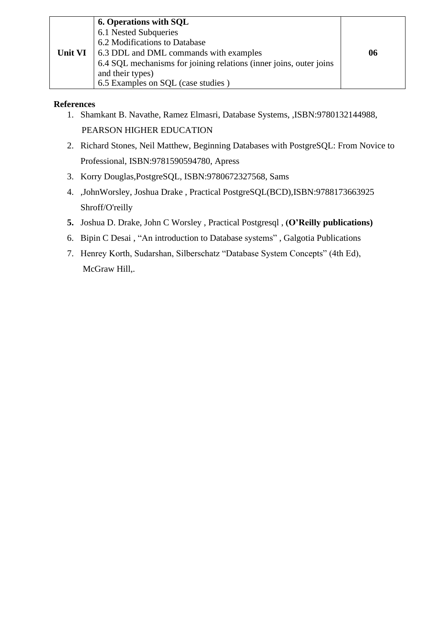|         | <b>6. Operations with SQL</b>                                      |    |
|---------|--------------------------------------------------------------------|----|
|         | 6.1 Nested Subqueries                                              |    |
|         | 6.2 Modifications to Database                                      |    |
| Unit VI | 6.3 DDL and DML commands with examples                             | 06 |
|         | 6.4 SQL mechanisms for joining relations (inner joins, outer joins |    |
|         | and their types)                                                   |    |
|         | 6.5 Examples on SQL (case studies)                                 |    |

#### **References**

- 1. Shamkant B. Navathe, Ramez Elmasri, Database Systems, ,ISBN:9780132144988, PEARSON HIGHER EDUCATION
- 2. Richard Stones, Neil Matthew, Beginning Databases with PostgreSQL: From Novice to Professional, ISBN:9781590594780, Apress
- 3. Korry Douglas,PostgreSQL, ISBN:9780672327568, Sams
- 4. ,JohnWorsley, Joshua Drake , Practical PostgreSQL(BCD),ISBN:9788173663925 Shroff/O'reilly
- **5.** Joshua D. Drake, John C Worsley , Practical Postgresql , **(O'Reilly publications)**
- 6. Bipin C Desai , "An introduction to Database systems" , Galgotia Publications
- 7. Henrey Korth, Sudarshan, Silberschatz "Database System Concepts" (4th Ed), McGraw Hill,.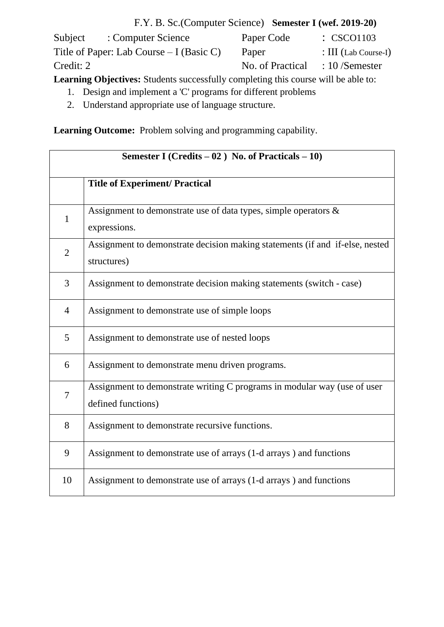F.Y. B. Sc.(Computer Science) **Semester I (wef. 2019-20)** Subject : Computer Science Paper Code : CSCO1103 Title of Paper: Lab Course – I (Basic C) Paper : III (Lab Course-I) Credit: 2 No. of Practical : 10 /Semester

**Learning Objectives:** Students successfully completing this course will be able to:

- 1. Design and implement a 'C' programs for different problems
- 2. Understand appropriate use of language structure.

**Learning Outcome:** Problem solving and programming capability.

| Semester I (Credits $-02$ ) No. of Practicals $-10$ ) |                                                                                                |
|-------------------------------------------------------|------------------------------------------------------------------------------------------------|
|                                                       | <b>Title of Experiment/ Practical</b>                                                          |
| $\mathbf{1}$                                          | Assignment to demonstrate use of data types, simple operators $\&$<br>expressions.             |
| $\overline{2}$                                        | Assignment to demonstrate decision making statements (if and if-else, nested<br>structures)    |
| 3                                                     | Assignment to demonstrate decision making statements (switch - case)                           |
| $\overline{4}$                                        | Assignment to demonstrate use of simple loops                                                  |
| 5                                                     | Assignment to demonstrate use of nested loops                                                  |
| 6                                                     | Assignment to demonstrate menu driven programs.                                                |
| 7                                                     | Assignment to demonstrate writing C programs in modular way (use of user<br>defined functions) |
| 8                                                     | Assignment to demonstrate recursive functions.                                                 |
| 9                                                     | Assignment to demonstrate use of arrays (1-d arrays) and functions                             |
| 10                                                    | Assignment to demonstrate use of arrays (1-d arrays) and functions                             |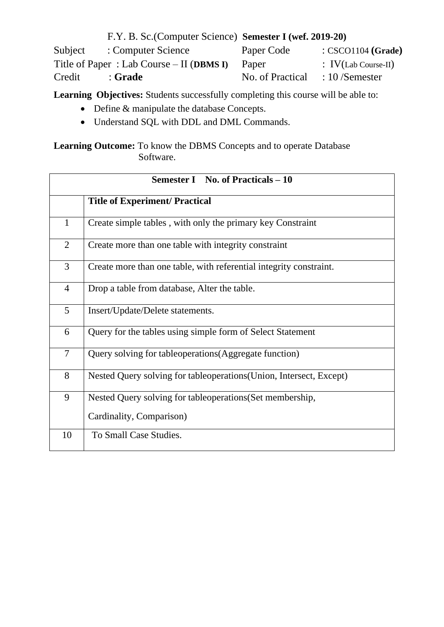|         | F.Y. B. Sc. (Computer Science) Semester I (wef. 2019-20) |                  |                                |
|---------|----------------------------------------------------------|------------------|--------------------------------|
| Subject | : Computer Science                                       | Paper Code       | : <b>CSCO1104</b> (Grade)      |
|         | Title of Paper: Lab Course $-$ II (DBMS I)               | Paper            | $\therefore$ IV(Lab Course-II) |
| Credit  | : Grade                                                  | No. of Practical | $\therefore$ 10 /Semester      |

**Learning Objectives:** Students successfully completing this course will be able to:

- Define & manipulate the database Concepts.
- Understand SQL with DDL and DML Commands.

Learning Outcome: To know the DBMS Concepts and to operate Database Software.

|                | <b>Semester I</b> No. of Practicals – 10                            |
|----------------|---------------------------------------------------------------------|
|                | <b>Title of Experiment/ Practical</b>                               |
| $\mathbf{1}$   | Create simple tables, with only the primary key Constraint          |
| 2              | Create more than one table with integrity constraint                |
| 3              | Create more than one table, with referential integrity constraint.  |
| $\overline{4}$ | Drop a table from database, Alter the table.                        |
| 5              | Insert/Update/Delete statements.                                    |
| 6              | Query for the tables using simple form of Select Statement          |
| $\overline{7}$ | Query solving for tableoperations (Aggregate function)              |
| 8              | Nested Query solving for tableoperations (Union, Intersect, Except) |
| 9              | Nested Query solving for tableoperations (Set membership,           |
|                | Cardinality, Comparison)                                            |
| 10             | To Small Case Studies.                                              |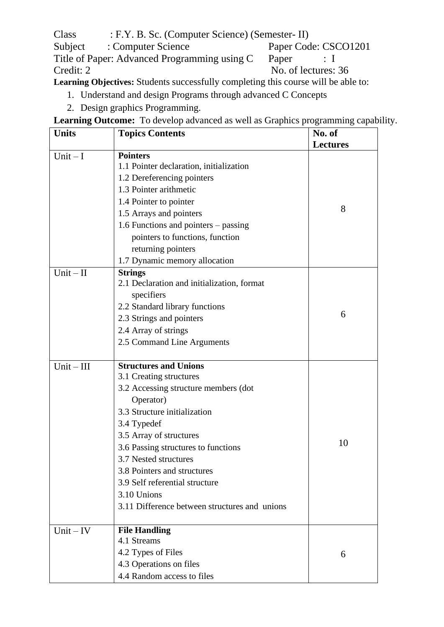Class : F.Y. B. Sc. (Computer Science) (Semester- II)<br>Subject : Computer Science Paper Cod Subject : Computer Science<br>Title of Paper: Advanced Programming using C Paper : I Title of Paper: Advanced Programming using C Paper : I<br>Credit: 2 No. of lectures: No. of lectures: 36

**Learning Objectives:** Students successfully completing this course will be able to:

- 1. Understand and design Programs through advanced C Concepts
- 2. Design graphics Programming.

**Learning Outcome:** To develop advanced as well as Graphics programming capability.

| <b>Units</b> | <b>Topics Contents</b>                        | No. of          |
|--------------|-----------------------------------------------|-----------------|
|              |                                               | <b>Lectures</b> |
| Unit $-I$    | <b>Pointers</b>                               |                 |
|              | 1.1 Pointer declaration, initialization       |                 |
|              | 1.2 Dereferencing pointers                    |                 |
|              | 1.3 Pointer arithmetic                        |                 |
|              | 1.4 Pointer to pointer                        | 8               |
|              | 1.5 Arrays and pointers                       |                 |
|              | 1.6 Functions and pointers – passing          |                 |
|              | pointers to functions, function               |                 |
|              | returning pointers                            |                 |
|              | 1.7 Dynamic memory allocation                 |                 |
| $Unit - II$  | <b>Strings</b>                                |                 |
|              | 2.1 Declaration and initialization, format    |                 |
|              | specifiers                                    |                 |
|              | 2.2 Standard library functions                |                 |
|              | 2.3 Strings and pointers                      | 6               |
|              | 2.4 Array of strings                          |                 |
|              | 2.5 Command Line Arguments                    |                 |
|              |                                               |                 |
| $Unit - III$ | <b>Structures and Unions</b>                  |                 |
|              | 3.1 Creating structures                       |                 |
|              | 3.2 Accessing structure members (dot          |                 |
|              | Operator)                                     |                 |
|              | 3.3 Structure initialization                  |                 |
|              | 3.4 Typedef                                   |                 |
|              | 3.5 Array of structures                       |                 |
|              | 3.6 Passing structures to functions           | 10              |
|              | 3.7 Nested structures                         |                 |
|              | 3.8 Pointers and structures                   |                 |
|              | 3.9 Self referential structure                |                 |
|              | 3.10 Unions                                   |                 |
|              | 3.11 Difference between structures and unions |                 |
|              |                                               |                 |
| $Unit - IV$  | <b>File Handling</b>                          |                 |
|              | 4.1 Streams                                   |                 |
|              | 4.2 Types of Files                            | 6               |
|              | 4.3 Operations on files                       |                 |
|              | 4.4 Random access to files                    |                 |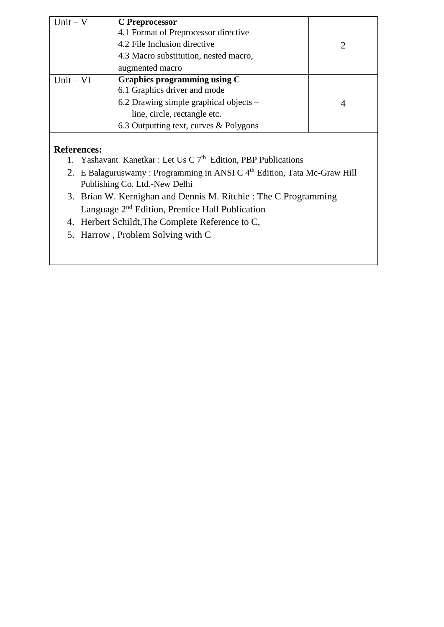| $Unit - V$         | <b>C</b> Preprocessor                    |                |
|--------------------|------------------------------------------|----------------|
|                    | 4.1 Format of Preprocessor directive     |                |
|                    | 4.2 File Inclusion directive             |                |
|                    | 4.3 Macro substitution, nested macro,    |                |
|                    | augmented macro                          |                |
| $Unit - VI$        | Graphics programming using C             |                |
|                    | 6.1 Graphics driver and mode             |                |
|                    | 6.2 Drawing simple graphical objects $-$ | $\overline{4}$ |
|                    | line, circle, rectangle etc.             |                |
|                    | 6.3 Outputting text, curves & Polygons   |                |
|                    |                                          |                |
| <b>References:</b> |                                          |                |

### 1. Yashavant Kanetkar : Let Us C  $7<sup>th</sup>$  Edition, PBP Publications

- 2. E Balaguruswamy : Programming in ANSI C 4<sup>th</sup> Edition, Tata Mc-Graw Hill Publishing Co. Ltd.-New Delhi
- 3. Brian W. Kernighan and Dennis M. Ritchie : The C Programming Language 2<sup>nd</sup> Edition, Prentice Hall Publication
- 4. Herbert Schildt,The Complete Reference to C,
- 5. Harrow , Problem Solving with C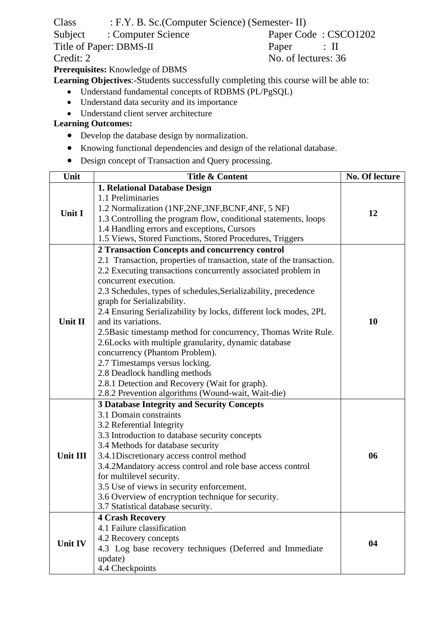Class : F.Y. B. Sc.(Computer Science) (Semester- II)

Credit: 2 No. of lectures: 36

Subject : Computer Science Paper Code : CSCO1202<br>Title of Paper: DBMS-II Paper : II Title of Paper: DBMS-II Paper : II

**Prerequisites:** Knowledge of DBMS

**Learning Objectives**:-Students successfully completing this course will be able to:

- Understand fundamental concepts of RDBMS (PL/PgSQL)
- Understand data security and its importance
- Understand client server architecture

#### **Learning Outcomes:**

- Develop the database design by normalization.
- Knowing functional dependencies and design of the relational database.
- Design concept of Transaction and Query processing.

| Unit            | <b>Title &amp; Content</b>                                                                                                                                                                                                                                                                                                                                                                                                                                                                                                                                                                                                                                                                                                                          | No. Of lecture |
|-----------------|-----------------------------------------------------------------------------------------------------------------------------------------------------------------------------------------------------------------------------------------------------------------------------------------------------------------------------------------------------------------------------------------------------------------------------------------------------------------------------------------------------------------------------------------------------------------------------------------------------------------------------------------------------------------------------------------------------------------------------------------------------|----------------|
| <b>Unit I</b>   | 1. Relational Database Design<br>1.1 Preliminaries<br>1.2 Normalization (1NF,2NF,3NF,BCNF,4NF, 5 NF)<br>1.3 Controlling the program flow, conditional statements, loops<br>1.4 Handling errors and exceptions, Cursors<br>1.5 Views, Stored Functions, Stored Procedures, Triggers                                                                                                                                                                                                                                                                                                                                                                                                                                                                  | 12             |
| Unit II         | 2 Transaction Concepts and concurrency control<br>2.1 Transaction, properties of transaction, state of the transaction.<br>2.2 Executing transactions concurrently associated problem in<br>concurrent execution.<br>2.3 Schedules, types of schedules, Serializability, precedence<br>graph for Serializability.<br>2.4 Ensuring Serializability by locks, different lock modes, 2PL<br>and its variations.<br>2.5 Basic timestamp method for concurrency, Thomas Write Rule.<br>2.6Locks with multiple granularity, dynamic database<br>concurrency (Phantom Problem).<br>2.7 Timestamps versus locking.<br>2.8 Deadlock handling methods<br>2.8.1 Detection and Recovery (Wait for graph).<br>2.8.2 Prevention algorithms (Wound-wait, Wait-die) | 10             |
| <b>Unit III</b> | <b>3 Database Integrity and Security Concepts</b><br>3.1 Domain constraints<br>3.2 Referential Integrity<br>3.3 Introduction to database security concepts<br>3.4 Methods for database security<br>06<br>3.4.1 Discretionary access control method<br>3.4.2Mandatory access control and role base access control<br>for multilevel security.<br>3.5 Use of views in security enforcement.<br>3.6 Overview of encryption technique for security.<br>3.7 Statistical database security.                                                                                                                                                                                                                                                               |                |
| Unit IV         | <b>4 Crash Recovery</b><br>4.1 Failure classification<br>4.2 Recovery concepts<br>4.3 Log base recovery techniques (Deferred and Immediate<br>update)<br>4.4 Checkpoints                                                                                                                                                                                                                                                                                                                                                                                                                                                                                                                                                                            | 04             |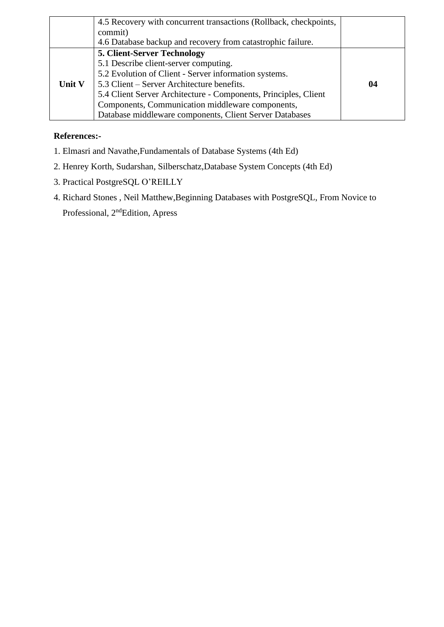|        | 4.5 Recovery with concurrent transactions (Rollback, checkpoints,<br>commit) |    |
|--------|------------------------------------------------------------------------------|----|
|        | 4.6 Database backup and recovery from catastrophic failure.                  |    |
|        | <b>5. Client-Server Technology</b>                                           |    |
|        | 5.1 Describe client-server computing.                                        |    |
|        | 5.2 Evolution of Client - Server information systems.                        |    |
| Unit V | 5.3 Client – Server Architecture benefits.                                   | 04 |
|        | 5.4 Client Server Architecture - Components, Principles, Client              |    |
|        | Components, Communication middleware components,                             |    |
|        | Database middleware components, Client Server Databases                      |    |

#### **References:-**

- 1. Elmasri and Navathe,Fundamentals of Database Systems (4th Ed)
- 2. Henrey Korth, Sudarshan, Silberschatz,Database System Concepts (4th Ed)
- 3. Practical PostgreSQL O'REILLY
- 4. Richard Stones , Neil Matthew,Beginning Databases with PostgreSQL, From Novice to Professional, 2<sup>nd</sup>Edition, Apress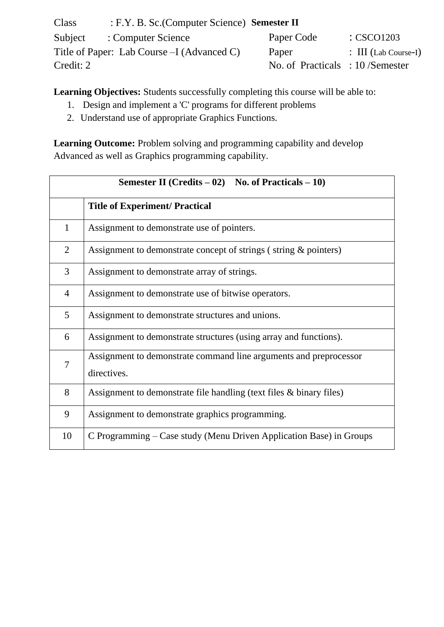| Class     | : F.Y. B. Sc. (Computer Science) Semester II |                                    |                                 |
|-----------|----------------------------------------------|------------------------------------|---------------------------------|
| Subject   | : Computer Science                           | Paper Code                         | $\therefore$ CSCO1203           |
|           | Title of Paper: Lab Course $-I$ (Advanced C) | Paper                              | $\therefore$ III (Lab Course-I) |
| Credit: 2 |                                              | No. of Practicals : $10$ /Semester |                                 |

**Learning Objectives:** Students successfully completing this course will be able to:

- 1. Design and implement a 'C' programs for different problems
- 2. Understand use of appropriate Graphics Functions.

**Learning Outcome:** Problem solving and programming capability and develop Advanced as well as Graphics programming capability.

| <b>Semester II</b> (Credits $-02$ ) No. of Practicals $-10$ ) |                                                                                  |
|---------------------------------------------------------------|----------------------------------------------------------------------------------|
|                                                               | <b>Title of Experiment/ Practical</b>                                            |
| 1                                                             | Assignment to demonstrate use of pointers.                                       |
| 2                                                             | Assignment to demonstrate concept of strings (string & pointers)                 |
| 3                                                             | Assignment to demonstrate array of strings.                                      |
| $\overline{4}$                                                | Assignment to demonstrate use of bitwise operators.                              |
| 5                                                             | Assignment to demonstrate structures and unions.                                 |
| 6                                                             | Assignment to demonstrate structures (using array and functions).                |
| 7                                                             | Assignment to demonstrate command line arguments and preprocessor<br>directives. |
| 8                                                             | Assignment to demonstrate file handling (text files & binary files)              |
| 9                                                             | Assignment to demonstrate graphics programming.                                  |
| 10                                                            | C Programming – Case study (Menu Driven Application Base) in Groups              |